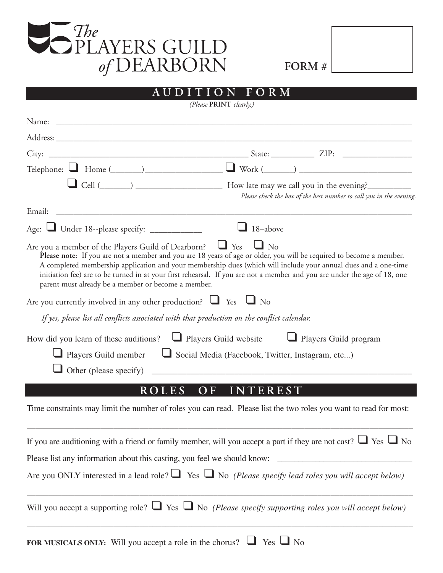

| FORM # |  |
|--------|--|
|--------|--|

| ITION FORM<br>A U D                                                                                                                                                                                                                                                                                                                                                                                                                                                                                   |
|-------------------------------------------------------------------------------------------------------------------------------------------------------------------------------------------------------------------------------------------------------------------------------------------------------------------------------------------------------------------------------------------------------------------------------------------------------------------------------------------------------|
| (Please PRINT clearly.)                                                                                                                                                                                                                                                                                                                                                                                                                                                                               |
|                                                                                                                                                                                                                                                                                                                                                                                                                                                                                                       |
| Address:                                                                                                                                                                                                                                                                                                                                                                                                                                                                                              |
|                                                                                                                                                                                                                                                                                                                                                                                                                                                                                                       |
|                                                                                                                                                                                                                                                                                                                                                                                                                                                                                                       |
| Cell (Coll (Coll (Coll (Coll 2) Cell (Coll 2) Cell (Coll 2) and the system of the system of the system of the system of the system of the system of the system of the system of the system of the system of the system of the<br>Please check the box of the best number to call you in the evening.                                                                                                                                                                                                  |
|                                                                                                                                                                                                                                                                                                                                                                                                                                                                                                       |
| Age: Under 18--please specify: ___________<br>$\Box$ 18-above                                                                                                                                                                                                                                                                                                                                                                                                                                         |
| Are you a member of the Players Guild of Dearborn? $\Box$ Yes $\Box$ No<br>Please note: If you are not a member and you are 18 years of age or older, you will be required to become a member.<br>A completed membership application and your membership dues (which will include your annual dues and a one-time<br>initiation fee) are to be turned in at your first rehearsal. If you are not a member and you are under the age of 18, one<br>parent must already be a member or become a member. |
| Are you currently involved in any other production? $\Box$ Yes $\Box$ No                                                                                                                                                                                                                                                                                                                                                                                                                              |
| If yes, please list all conflicts associated with that production on the conflict calendar.                                                                                                                                                                                                                                                                                                                                                                                                           |
| How did you learn of these auditions? $\Box$ Players Guild website $\Box$ Players Guild program<br>Players Guild member $\Box$ Social Media (Facebook, Twitter, Instagram, etc)                                                                                                                                                                                                                                                                                                                       |
|                                                                                                                                                                                                                                                                                                                                                                                                                                                                                                       |
| OF INTEREST<br><b>ROLES</b>                                                                                                                                                                                                                                                                                                                                                                                                                                                                           |
| Time constraints may limit the number of roles you can read. Please list the two roles you want to read for most:                                                                                                                                                                                                                                                                                                                                                                                     |
| If you are auditioning with a friend or family member, will you accept a part if they are not cast? $\Box$ Yes $\Box$ No                                                                                                                                                                                                                                                                                                                                                                              |
| Please list any information about this casting, you feel we should know:                                                                                                                                                                                                                                                                                                                                                                                                                              |
| Are you ONLY interested in a lead role? $\Box$ Yes $\Box$ No (Please specify lead roles you will accept below)                                                                                                                                                                                                                                                                                                                                                                                        |
| Will you accept a supporting role? $\Box$ Yes $\Box$ No (Please specify supporting roles you will accept below)                                                                                                                                                                                                                                                                                                                                                                                       |

**FOR MUSICALS ONLY:** Will you accept a role in the chorus? ❑ Yes ❑ No